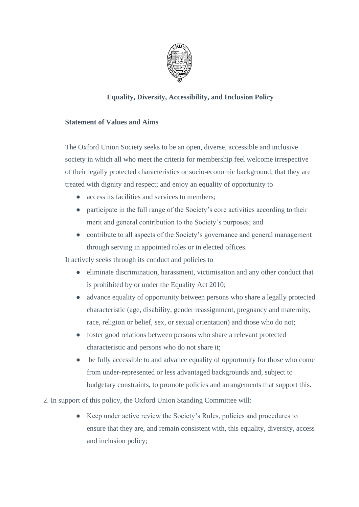

## **Equality, Diversity, Accessibility, and Inclusion Policy**

## **Statement of Values and Aims**

The Oxford Union Society seeks to be an open, diverse, accessible and inclusive society in which all who meet the criteria for membership feel welcome irrespective of their legally protected characteristics or socio-economic background; that they are treated with dignity and respect; and enjoy an equality of opportunity to

- access its facilities and services to members;
- participate in the full range of the Society's core activities according to their merit and general contribution to the Society's purposes; and
- contribute to all aspects of the Society's governance and general management through serving in appointed roles or in elected offices.

It actively seeks through its conduct and policies to

- eliminate discrimination, harassment, victimisation and any other conduct that is prohibited by or under the Equality Act 2010;
- advance equality of opportunity between persons who share a legally protected characteristic (age, disability, gender reassignment, pregnancy and maternity, race, religion or belief, sex, or sexual orientation) and those who do not;
- foster good relations between persons who share a relevant protected characteristic and persons who do not share it;
- be fully accessible to and advance equality of opportunity for those who come from under-represented or less advantaged backgrounds and, subject to budgetary constraints, to promote policies and arrangements that support this.
- 2. In support of this policy, the Oxford Union Standing Committee will:
	- Keep under active review the Society's Rules, policies and procedures to ensure that they are, and remain consistent with, this equality, diversity, access and inclusion policy;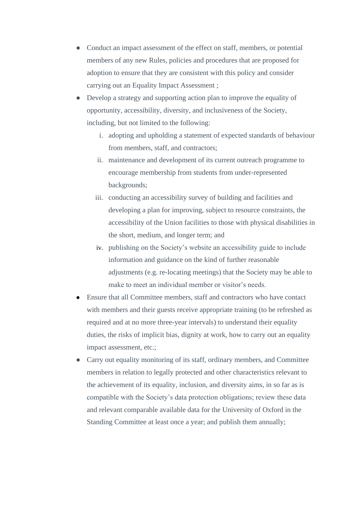- Conduct an impact assessment of the effect on staff, members, or potential members of any new Rules, policies and procedures that are proposed for adoption to ensure that they are consistent with this policy and consider carrying out an Equality Impact Assessment ;
- Develop a strategy and supporting action plan to improve the equality of opportunity, accessibility, diversity, and inclusiveness of the Society, including, but not limited to the following:
	- i. adopting and upholding a statement of expected standards of behaviour from members, staff, and contractors;
	- ii. maintenance and development of its current outreach programme to encourage membership from students from under-represented backgrounds;
	- iii. conducting an accessibility survey of building and facilities and developing a plan for improving, subject to resource constraints, the accessibility of the Union facilities to those with physical disabilities in the short, medium, and longer term; and
	- iv. publishing on the Society's website an accessibility guide to include information and guidance on the kind of further reasonable adjustments (e.g. re-locating meetings) that the Society may be able to make to meet an individual member or visitor's needs.
- Ensure that all Committee members, staff and contractors who have contact with members and their guests receive appropriate training (to be refreshed as required and at no more three-year intervals) to understand their equality duties, the risks of implicit bias, dignity at work, how to carry out an equality impact assessment, etc.;
- Carry out equality monitoring of its staff, ordinary members, and Committee members in relation to legally protected and other characteristics relevant to the achievement of its equality, inclusion, and diversity aims, in so far as is compatible with the Society's data protection obligations; review these data and relevant comparable available data for the University of Oxford in the Standing Committee at least once a year; and publish them annually;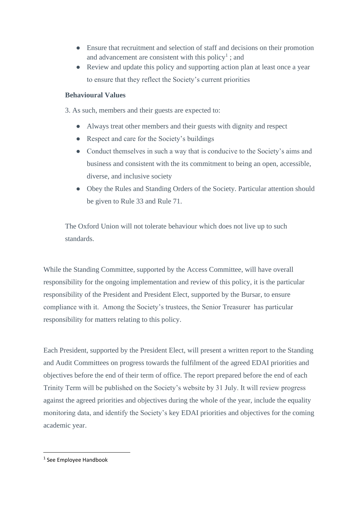- Ensure that recruitment and selection of staff and decisions on their promotion and advancement are consistent with this policy<sup>1</sup>; and
- Review and update this policy and supporting action plan at least once a year to ensure that they reflect the Society's current priorities

## **Behavioural Values**

3. As such, members and their guests are expected to:

- Always treat other members and their guests with dignity and respect
- Respect and care for the Society's buildings
- Conduct themselves in such a way that is conducive to the Society's aims and business and consistent with the its commitment to being an open, accessible, diverse, and inclusive society
- Obey the Rules and Standing Orders of the Society. Particular attention should be given to Rule 33 and Rule 71.

The Oxford Union will not tolerate behaviour which does not live up to such standards.

While the Standing Committee, supported by the Access Committee, will have overall responsibility for the ongoing implementation and review of this policy, it is the particular responsibility of the President and President Elect, supported by the Bursar, to ensure compliance with it. Among the Society's trustees, the Senior Treasurer has particular responsibility for matters relating to this policy.

Each President, supported by the President Elect, will present a written report to the Standing and Audit Committees on progress towards the fulfilment of the agreed EDAI priorities and objectives before the end of their term of office. The report prepared before the end of each Trinity Term will be published on the Society's website by 31 July. It will review progress against the agreed priorities and objectives during the whole of the year, include the equality monitoring data, and identify the Society's key EDAI priorities and objectives for the coming academic year.

<sup>1</sup> See Employee Handbook